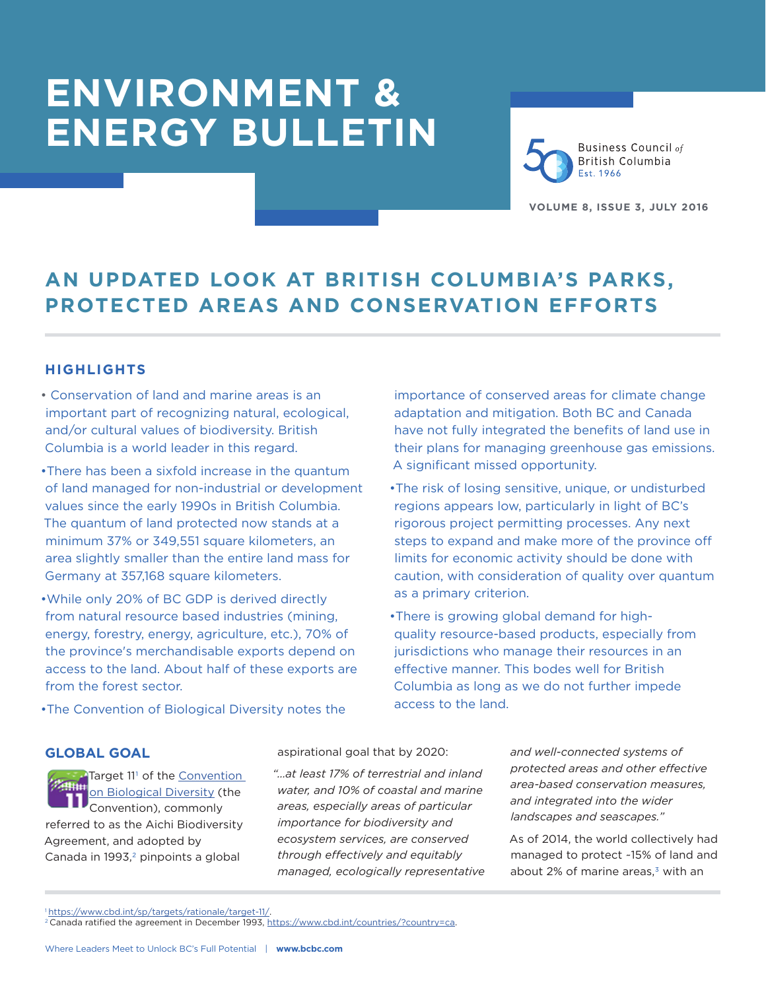# **ENVIRONMENT & ENERGY BULLETIN**



**VOLUME 8, ISSUE 3, JULY 2016**

# **AN UPDATED LOOK AT BRITISH COLUMBIA'S PARKS, PROTECTED AREAS AND CONSERVATION EFFORTS**

# **HIGHLIGHTS**

- Conservation of land and marine areas is an important part of recognizing natural, ecological, and/or cultural values of biodiversity. British Columbia is a world leader in this regard.
- •There has been a sixfold increase in the quantum of land managed for non-industrial or development values since the early 1990s in British Columbia. The quantum of land protected now stands at a minimum 37% or 349,551 square kilometers, an area slightly smaller than the entire land mass for Germany at 357,168 square kilometers.
- •While only 20% of BC GDP is derived directly from natural resource based industries (mining, energy, forestry, energy, agriculture, etc.), 70% of the province's merchandisable exports depend on access to the land. About half of these exports are from the forest sector.
- importance of conserved areas for climate change adaptation and mitigation. Both BC and Canada have not fully integrated the benefits of land use in their plans for managing greenhouse gas emissions. A significant missed opportunity.
- •The risk of losing sensitive, unique, or undisturbed regions appears low, particularly in light of BC's rigorous project permitting processes. Any next steps to expand and make more of the province off limits for economic activity should be done with caution, with consideration of quality over quantum as a primary criterion.
- •There is growing global demand for highquality resource-based products, especially from jurisdictions who manage their resources in an effective manner. This bodes well for British Columbia as long as we do not further impede access to the land.
- •The Convention of Biological Diversity notes the

# **GLOBAL GOAL**

Target 11<sup>1</sup> of the Convention [on Biological Diversity](https://www.cbd.int/doc/legal/cbd-en.pdf) (the Convention), commonly referred to as the Aichi Biodiversity Agreement, and adopted by Canada in 1993,<sup>2</sup> pinpoints a global

aspirational goal that by 2020:

*"…at least 17% of terrestrial and inland water, and 10% of coastal and marine areas, especially areas of particular importance for biodiversity and ecosystem services, are conserved through effectively and equitably managed, ecologically representative* 

*and well-connected systems of protected areas and other effective area-based conservation measures, and integrated into the wider landscapes and seascapes."*

As of 2014, the world collectively had managed to protect ~15% of land and about 2% of marine areas, $3$  with an

<sup>1</sup> <https://www.cbd.int/sp/targets/rationale/target-11/>.

<sup>&</sup>lt;sup>2</sup> Canada ratified the agreement in December 1993, [https://www.cbd.int/countries/?country=ca.](https://www.cbd.int/countries/?country=ca)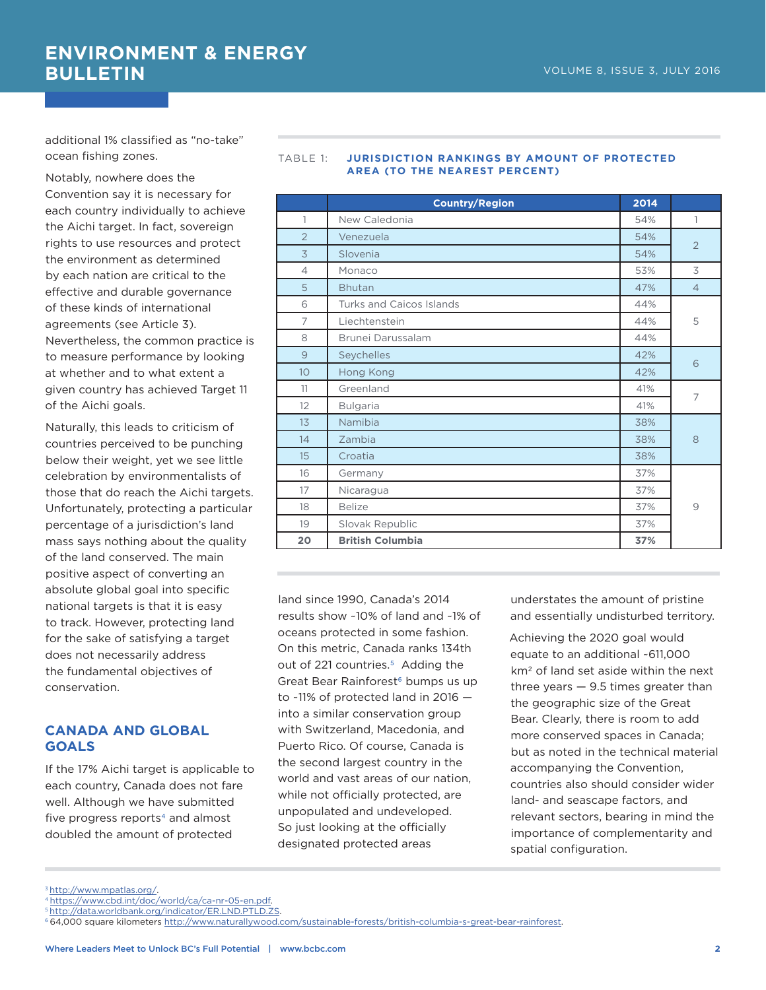additional 1% classified as "no-take" ocean fishing zones.

Notably, nowhere does the Convention say it is necessary for each country individually to achieve the Aichi target. In fact, sovereign rights to use resources and protect the environment as determined by each nation are critical to the effective and durable governance of these kinds of international agreements (see Article 3). Nevertheless, the common practice is to measure performance by looking at whether and to what extent a given country has achieved Target 11 of the Aichi goals.

Naturally, this leads to criticism of countries perceived to be punching below their weight, yet we see little celebration by environmentalists of those that do reach the Aichi targets. Unfortunately, protecting a particular percentage of a jurisdiction's land mass says nothing about the quality of the land conserved. The main positive aspect of converting an absolute global goal into specific national targets is that it is easy to track. However, protecting land for the sake of satisfying a target does not necessarily address the fundamental objectives of conservation.

# **CANADA AND GLOBAL GOALS**

If the 17% Aichi target is applicable to each country, Canada does not fare well. Although we have submitted five progress reports<sup>4</sup> and almost doubled the amount of protected

## TABLE 1: **JURISDICTION RANKINGS BY AMOUNT OF PROTECTED AREA (TO THE NEAREST PERCENT)**

|                | <b>Country/Region</b>           | 2014 |                |
|----------------|---------------------------------|------|----------------|
| 1              | New Caledonia                   | 54%  | $\mathbf{1}$   |
| $\overline{2}$ | Venezuela                       | 54%  | $\overline{2}$ |
| 3              | Slovenia                        | 54%  |                |
| $\overline{4}$ | Monaco                          | 53%  | 3              |
| 5              | <b>Bhutan</b>                   | 47%  | $\overline{4}$ |
| 6              | <b>Turks and Caicos Islands</b> | 44%  | 5              |
| 7              | Liechtenstein                   | 44%  |                |
| 8              | Brunei Darussalam               | 44%  |                |
| 9              | Seychelles                      | 42%  | 6              |
| 10             | Hong Kong                       | 42%  |                |
| 11             | Greenland                       | 41%  | $\overline{7}$ |
| 12             | <b>Bulgaria</b>                 | 41%  |                |
| 13             | Namibia                         | 38%  |                |
| 14             | Zambia                          | 38%  | 8              |
| 15             | Croatia                         | 38%  |                |
| 16             | Germany                         | 37%  | 9              |
| 17             | Nicaragua                       | 37%  |                |
| 18             | <b>Belize</b>                   | 37%  |                |
| 19             | Slovak Republic                 | 37%  |                |
| 20             | <b>British Columbia</b>         | 37%  |                |

land since 1990, Canada's 2014 results show ~10% of land and ~1% of oceans protected in some fashion. On this metric, Canada ranks 134th out of 221 countries.<sup>5</sup> Adding the Great Bear Rainforest<sup>6</sup> bumps us up to ~11% of protected land in 2016 into a similar conservation group with Switzerland, Macedonia, and Puerto Rico. Of course, Canada is the second largest country in the world and vast areas of our nation, while not officially protected, are unpopulated and undeveloped. So just looking at the officially designated protected areas

understates the amount of pristine and essentially undisturbed territory.

Achieving the 2020 goal would equate to an additional ~611,000 km2 of land set aside within the next three years  $-9.5$  times greater than the geographic size of the Great Bear. Clearly, there is room to add more conserved spaces in Canada; but as noted in the technical material accompanying the Convention, countries also should consider wider land- and seascape factors, and relevant sectors, bearing in mind the importance of complementarity and spatial configuration.

<sup>3</sup> <http://www.mpatlas.org/>.

<sup>4</sup> <https://www.cbd.int/doc/world/ca/ca-nr-05-en.pdf>.

<sup>5</sup> [http://data.worldbank.org/indicator/ER.LND.PTLD.ZS.](http://data.worldbank.org/indicator/ER.LND.PTLD.ZS)

<sup>6</sup> 64,000 square kilometers [http://www.naturallywood.com/sustainable-forests/british-columbia-s-great-bear-rainforest.](http://www.naturallywood.com/sustainable-forests/british-columbia-s-great-bear-rainforest)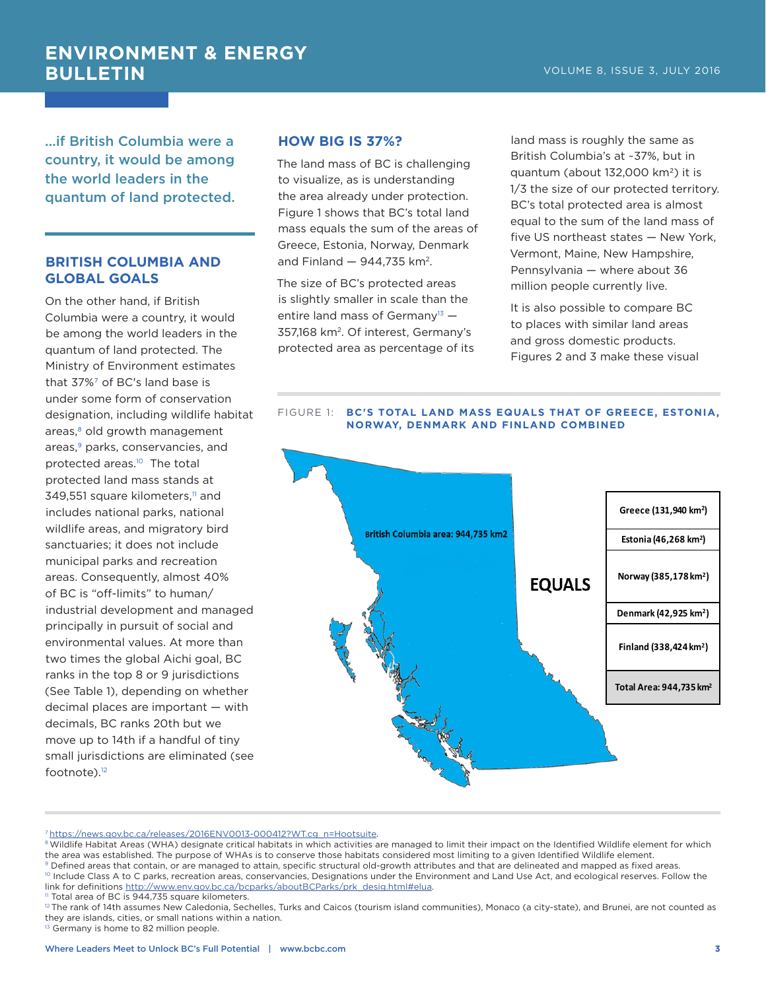...if British Columbia were a country, it would be among the world leaders in the quantum of land protected.

## **BRITISH COLUMBIA AND GLOBAL GOALS**

On the other hand, if British Columbia were a country, it would be among the world leaders in the quantum of land protected. The Ministry of Environment estimates that 37%7 of BC's land base is under some form of conservation designation, including wildlife habitat areas,<sup>8</sup> old growth management areas,<sup>9</sup> parks, conservancies, and protected areas.<sup>10</sup> The total protected land mass stands at  $349,551$  square kilometers,<sup>11</sup> and includes national parks, national wildlife areas, and migratory bird sanctuaries; it does not include municipal parks and recreation areas. Consequently, almost 40% of BC is "off-limits" to human/ industrial development and managed principally in pursuit of social and environmental values. At more than two times the global Aichi goal, BC ranks in the top 8 or 9 jurisdictions (See Table 1), depending on whether decimal places are important — with decimals, BC ranks 20th but we move up to 14th if a handful of tiny small jurisdictions are eliminated (see footnote).<sup>12</sup>

## **HOW BIG IS 37%?**

The land mass of BC is challenging to visualize, as is understanding the area already under protection. Figure 1 shows that BC's total land mass equals the sum of the areas of Greece, Estonia, Norway, Denmark and Finland  $-944.735$  km<sup>2</sup>.

The size of BC's protected areas is slightly smaller in scale than the entire land mass of Germany<sup>13</sup>  $-$ 357,168 km2. Of interest, Germany's protected area as percentage of its land mass is roughly the same as British Columbia's at ~37%, but in quantum (about 132,000 km2) it is 1/3 the size of our protected territory. BC's total protected area is almost equal to the sum of the land mass of five US northeast states — New York, Vermont, Maine, New Hampshire, Pennsylvania — where about 36 million people currently live.

It is also possible to compare BC to places with similar land areas and gross domestic products. Figures 2 and 3 make these visual

### FIGURE 1: **BC'S TOTAL LAND MASS EQUALS THAT OF GREECE, ESTONIA, NORWAY, DENMARK AND FINLAND COMBINED**



#### <sup>7</sup> [https://news.gov.bc.ca/releases/2016ENV0013-000412?WT.cg\\_n=Hootsuite.](https://news.gov.bc.ca/releases/2016ENV0013-000412?WT.cg_n=Hootsuite)

<sup>11</sup> Total area of BC is 944,735 square kilometers.

<sup>13</sup> Germany is home to 82 million people[.](http://www.ec.gc.ca/indicateurs-indicators/default.asp?lang=en&n=C8BFC3F2-1  )

<sup>&</sup>lt;sup>8</sup> Wildlife Habitat Areas (WHA) designate critical habitats in which activities are managed to limit their impact on the Identified Wildlife element for which the area was established. The purpose of WHAs is to conserve those habitats considered most limiting to a given Identified Wildlife element. 9 Defined areas that contain, or are managed to attain, specific structural old-growth attributes and that are delineated and mapped as fixed areas. <sup>10</sup> Include Class A to C parks, recreation areas, conservancies, Designations under the Environment and Land Use Act, and ecological reserves. Follow the link for definitions [http://www.env.gov.bc.ca/bcparks/aboutBCParks/prk\\_desig.html#elua](http://www.env.gov.bc.ca/bcparks/aboutBCParks/prk_desig.html#elua).

<sup>&</sup>lt;sup>12</sup> The rank of 14th assumes New Caledonia, Sechelles, Turks and Caicos (tourism island communities), Monaco (a city-state), and Brunei, are not counted as they are islands, cities, or small nations within a nation.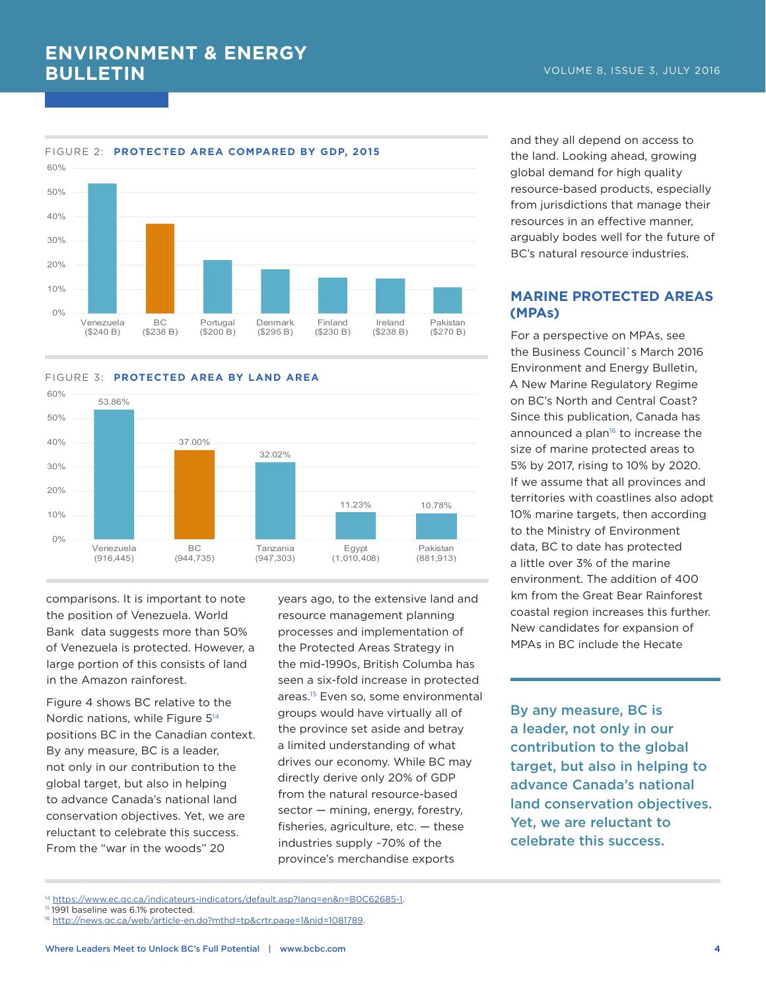# **ENVIRONMENT & ENERGY BULLETIN**





comparisons. It is important to note the position of Venezuela. World Bank data suggests more than 50% of Venezuela is protected. However, a large portion of this consists of land in the Amazon rainforest.

Figure 4 shows BC relative to the Nordic nations, while Figure 514 positions BC in the Canadian context. By any measure, BC is a leader, not only in our contribution to the global target, but also in helping to advance Canada's national land conservation objectives. Yet, we are reluctant to celebrate this success. From the "war in the woods" 20

years ago, to the extensive land and resource management planning processes and implementation of the Protected Areas Strategy in the mid-1990s, British Columba has seen a six-fold increase in protected areas.<sup>15</sup> Even so, some environmental groups would have virtually all of the province set aside and betray a limited understanding of what drives our economy. While BC may directly derive only 20% of GDP from the natural resource-based sector — mining, energy, forestry, fisheries, agriculture, etc. — these industries supply ~70% of the province's merchandise exports

and they all depend on access to the land. Looking ahead, growing global demand for high quality resource-based products, especially from jurisdictions that manage their resources in an effective manner, arguably bodes well for the future of BC's natural resource industries.

# **MARINE PROTECTED AREAS (MPAs)**

For a perspective on MPAs, see the Business Council`s March 2016 Environment and Energy Bulletin, A New Marine Regulatory Regime on BC's North and Central Coast? Since this publication, Canada has announced a plan<sup>16</sup> to increase the size of marine protected areas to 5% by 2017, rising to 10% by 2020. If we assume that all provinces and territories with coastlines also adopt 10% marine targets, then according to the Ministry of Environment data, BC to date has protected a little over 3% of the marine environment. The addition of 400 km from the Great Bear Rainforest coastal region increases this further. New candidates for expansion of MPAs in BC include the Hecate

By any measure, BC is a leader, not only in our contribution to the global target, but also in helping to advance Canada's national land conservation objectives. Yet, we are reluctant to celebrate this success.

<sup>&</sup>lt;sup>14</sup> [https://www.ec.gc.ca/indicateurs-indicators/default.asp?lang=en&n=B0C62685-1.](https://www.ec.gc.ca/indicateurs-indicators/default.asp?lang=en&n=B0C62685-1)

<sup>&</sup>lt;sup>15</sup> 1991 baseline was 6.1% protected.

<sup>16</sup> <http://news.gc.ca/web/article-en.do?mthd=tp&crtr.page=1&nid=1081789>.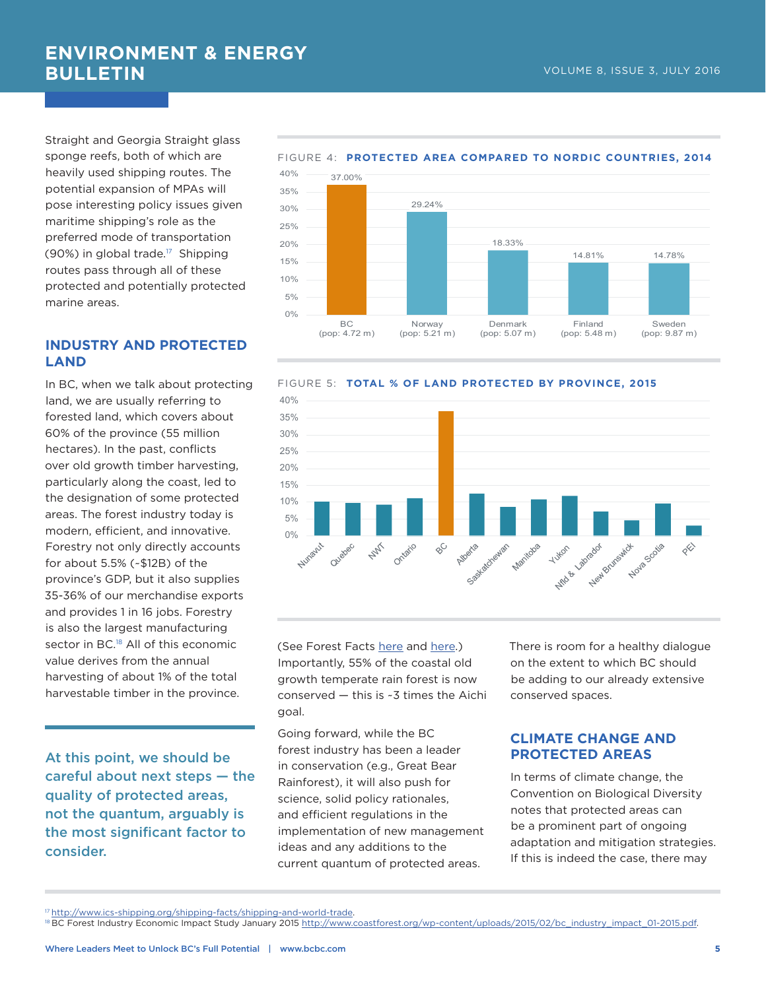Straight and Georgia Straight glass sponge reefs, both of which are heavily used shipping routes. The potential expansion of MPAs will pose interesting policy issues given maritime shipping's role as the preferred mode of transportation (90%) in global trade.17 Shipping routes pass through all of these protected and potentially protected marine areas.

# **INDUSTRY AND PROTECTED LAND**

In BC, when we talk about protecting land, we are usually referring to forested land, which covers about 60% of the province (55 million hectares). In the past, conflicts over old growth timber harvesting, particularly along the coast, led to the designation of some protected areas. The forest industry today is modern, efficient, and innovative. Forestry not only directly accounts for about 5.5% (~\$12B) of the province's GDP, but it also supplies 35-36% of our merchandise exports and provides 1 in 16 jobs. Forestry is also the largest manufacturing sector in BC.<sup>18</sup> All of this economic value derives from the annual harvesting of about 1% of the total harvestable timber in the province.

At this point, we should be careful about next steps — the quality of protected areas, not the quantum, arguably is the most significant factor to consider.



#### FIGURE 5: **TOTAL % OF LAND PROTECTED BY PROVINCE, 2015**



(See Forest Facts [here](http://www.cofi.org/industry-info/forest-facts/) and [here](http://www.coastforest.org/industry-info/quick-facts/).) Importantly, 55% of the coastal old growth temperate rain forest is now conserved — this is ~3 times the Aichi goal.

Going forward, while the BC forest industry has been a leader in conservation (e.g., Great Bear Rainforest), it will also push for science, solid policy rationales, and efficient regulations in the implementation of new management ideas and any additions to the current quantum of protected areas.

There is room for a healthy dialogue on the extent to which BC should be adding to our already extensive conserved spaces.

# **CLIMATE CHANGE AND PROTECTED AREAS**

In terms of climate change, the Convention on Biological Diversity notes that protected areas can be a prominent part of ongoing adaptation and mitigation strategies. If this is indeed the case, there may

<sup>&</sup>lt;sup>17</sup><http://www.ics-shipping.org/shipping-facts/shipping-and-world-trade>.

<sup>&</sup>lt;sup>18</sup> BC Forest Industry Economic Impact Study January 2015 [http://www.coastforest.org/wp-content/uploads/2015/02/bc\\_industry\\_impact\\_01-2015.pdf](http://www.coastforest.org/wp-content/uploads/2015/02/bc_industry_impact_01-2015.pdf).